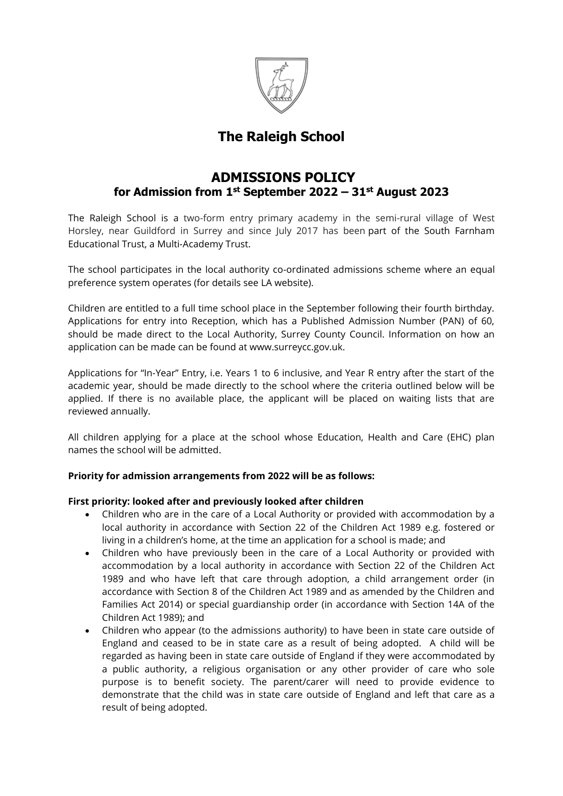

# **The Raleigh School**

# **ADMISSIONS POLICY for Admission from 1st September 2022 – 31st August 2023**

The Raleigh School is a two-form entry primary academy in the semi-rural village of West Horsley, near Guildford in Surrey and since July 2017 has been [p](http://www.sfet.org.uk/)art of the South Farnham Educational Trust, a Multi-Academy Trust.

The school participates in the local authority co-ordinated admissions scheme where an equal preference system operates (for details see LA website).

Children are entitled to a full time school place in the September following their fourth birthday. Applications for entry into Reception, which has a Published Admission Number (PAN) of 60, should be made direct to the Local Authority, Surrey County Council. Information on how an application can be made can be found at www.surreycc.gov.uk.

Applications for "In-Year" Entry, i.e. Years 1 to 6 inclusive, and Year R entry after the start of the academic year, should be made directly to the school where the criteria outlined below will be applied. If there is no available place, the applicant will be placed on waiting lists that are reviewed annually.

All children applying for a place at the school whose Education, Health and Care (EHC) plan names the school will be admitted.

# **Priority for admission arrangements from 2022 will be as follows:**

# **First priority: looked after and previously looked after children**

- Children who are in the care of a Local Authority or provided with accommodation by a local authority in accordance with Section 22 of the Children Act 1989 e.g. fostered or living in a children's home, at the time an application for a school is made; and
- Children who have previously been in the care of a Local Authority or provided with accommodation by a local authority in accordance with Section 22 of the Children Act 1989 and who have left that care through adoption, a child arrangement order (in accordance with Section 8 of the Children Act 1989 and as amended by the Children and Families Act 2014) or special guardianship order (in accordance with Section 14A of the Children Act 1989); and
- Children who appear (to the admissions authority) to have been in state care outside of England and ceased to be in state care as a result of being adopted. A child will be regarded as having been in state care outside of England if they were accommodated by a public authority, a religious organisation or any other provider of care who sole purpose is to benefit society. The parent/carer will need to provide evidence to demonstrate that the child was in state care outside of England and left that care as a result of being adopted.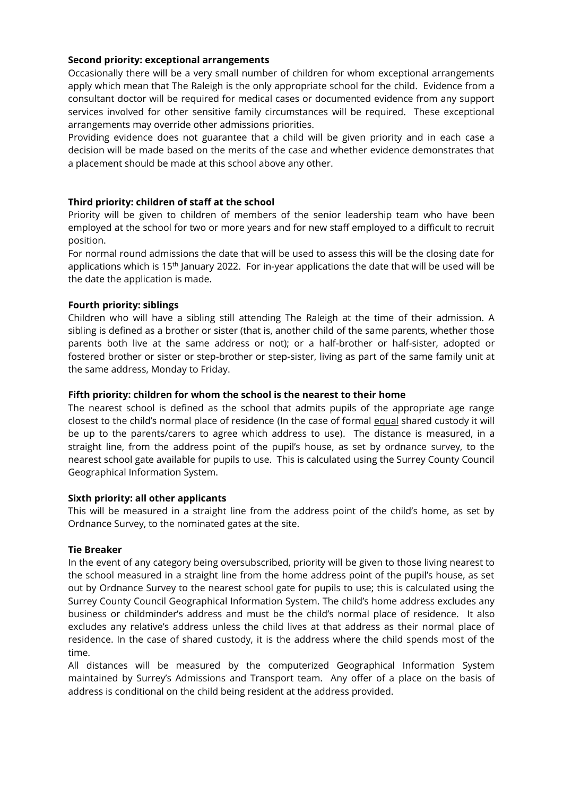# **Second priority: exceptional arrangements**

Occasionally there will be a very small number of children for whom exceptional arrangements apply which mean that The Raleigh is the only appropriate school for the child. Evidence from a consultant doctor will be required for medical cases or documented evidence from any support services involved for other sensitive family circumstances will be required. These exceptional arrangements may override other admissions priorities.

Providing evidence does not guarantee that a child will be given priority and in each case a decision will be made based on the merits of the case and whether evidence demonstrates that a placement should be made at this school above any other.

# **Third priority: children of staff at the school**

Priority will be given to children of members of the senior leadership team who have been employed at the school for two or more years and for new staff employed to a difficult to recruit position.

For normal round admissions the date that will be used to assess this will be the closing date for applications which is 15<sup>th</sup> January 2022. For in-year applications the date that will be used will be the date the application is made.

# **Fourth priority: siblings**

Children who will have a sibling still attending The Raleigh at the time of their admission. A sibling is defined as a brother or sister (that is, another child of the same parents, whether those parents both live at the same address or not); or a half-brother or half-sister, adopted or fostered brother or sister or step-brother or step-sister, living as part of the same family unit at the same address, Monday to Friday.

## **Fifth priority: children for whom the school is the nearest to their home**

The nearest school is defined as the school that admits pupils of the appropriate age range closest to the child's normal place of residence (In the case of formal equal shared custody it will be up to the parents/carers to agree which address to use). The distance is measured, in a straight line, from the address point of the pupil's house, as set by ordnance survey, to the nearest school gate available for pupils to use. This is calculated using the Surrey County Council Geographical Information System.

#### **Sixth priority: all other applicants**

This will be measured in a straight line from the address point of the child's home, as set by Ordnance Survey, to the nominated gates at the site.

#### **Tie Breaker**

In the event of any category being oversubscribed, priority will be given to those living nearest to the school measured in a straight line from the home address point of the pupil's house, as set out by Ordnance Survey to the nearest school gate for pupils to use; this is calculated using the Surrey County Council Geographical Information System. The child's home address excludes any business or childminder's address and must be the child's normal place of residence. It also excludes any relative's address unless the child lives at that address as their normal place of residence. In the case of shared custody, it is the address where the child spends most of the time.

All distances will be measured by the computerized Geographical Information System maintained by Surrey's Admissions and Transport team. Any offer of a place on the basis of address is conditional on the child being resident at the address provided.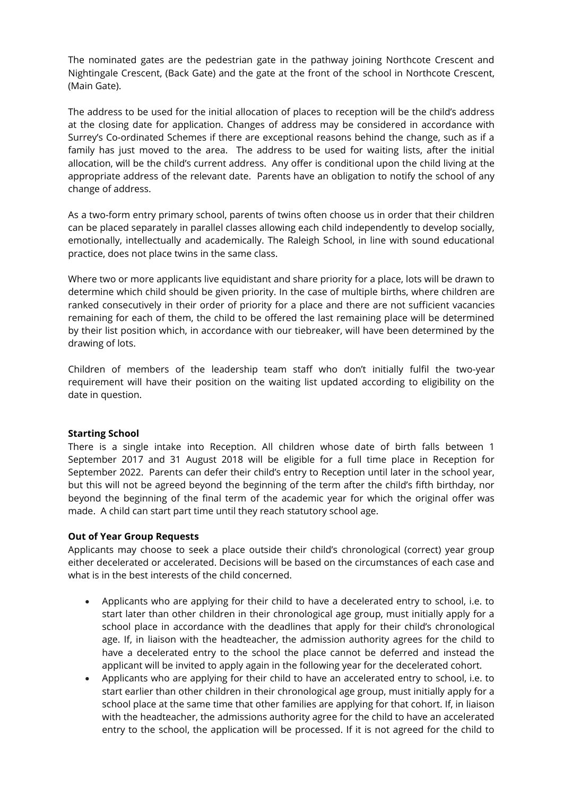The nominated gates are the pedestrian gate in the pathway joining Northcote Crescent and Nightingale Crescent, (Back Gate) and the gate at the front of the school in Northcote Crescent, (Main Gate).

The address to be used for the initial allocation of places to reception will be the child's address at the closing date for application. Changes of address may be considered in accordance with Surrey's Co-ordinated Schemes if there are exceptional reasons behind the change, such as if a family has just moved to the area. The address to be used for waiting lists, after the initial allocation, will be the child's current address. Any offer is conditional upon the child living at the appropriate address of the relevant date. Parents have an obligation to notify the school of any change of address.

As a two-form entry primary school, parents of twins often choose us in order that their children can be placed separately in parallel classes allowing each child independently to develop socially, emotionally, intellectually and academically. The Raleigh School, in line with sound educational practice, does not place twins in the same class.

Where two or more applicants live equidistant and share priority for a place, lots will be drawn to determine which child should be given priority. In the case of multiple births, where children are ranked consecutively in their order of priority for a place and there are not sufficient vacancies remaining for each of them, the child to be offered the last remaining place will be determined by their list position which, in accordance with our tiebreaker, will have been determined by the drawing of lots.

Children of members of the leadership team staff who don't initially fulfil the two-year requirement will have their position on the waiting list updated according to eligibility on the date in question.

#### **Starting School**

There is a single intake into Reception. All children whose date of birth falls between 1 September 2017 and 31 August 2018 will be eligible for a full time place in Reception for September 2022. Parents can defer their child's entry to Reception until later in the school year, but this will not be agreed beyond the beginning of the term after the child's fifth birthday, nor beyond the beginning of the final term of the academic year for which the original offer was made. A child can start part time until they reach statutory school age.

#### **Out of Year Group Requests**

Applicants may choose to seek a place outside their child's chronological (correct) year group either decelerated or accelerated. Decisions will be based on the circumstances of each case and what is in the best interests of the child concerned.

- Applicants who are applying for their child to have a decelerated entry to school, i.e. to start later than other children in their chronological age group, must initially apply for a school place in accordance with the deadlines that apply for their child's chronological age. If, in liaison with the headteacher, the admission authority agrees for the child to have a decelerated entry to the school the place cannot be deferred and instead the applicant will be invited to apply again in the following year for the decelerated cohort.
- Applicants who are applying for their child to have an accelerated entry to school, i.e. to start earlier than other children in their chronological age group, must initially apply for a school place at the same time that other families are applying for that cohort. If, in liaison with the headteacher, the admissions authority agree for the child to have an accelerated entry to the school, the application will be processed. If it is not agreed for the child to